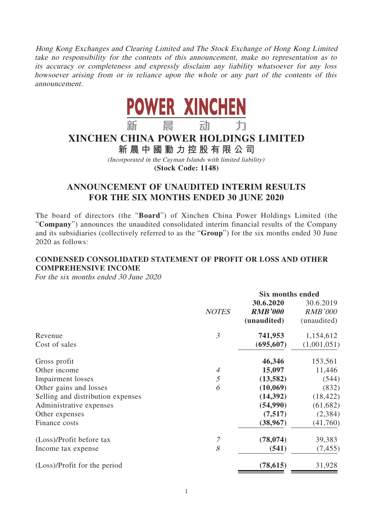Hong Kong Exchanges and Clearing Limited and The Stock Exchange of Hong Kong Limited take no responsibility for the contents of this announcement, make no representation as to its accuracy or completeness and expressly disclaim any liability whatsoever for any loss howsoever arising from or in reliance upon the whole or any part of the contents of this announcement.



# **XINCHEN CHINA POWER HOLDINGS LIMITED**

**新晨中國動力控股有限公司**

(Incorporated in the Cayman Islands with limited liability)

**(Stock Code: 1148)**

# **ANNOUNCEMENT OF UNAUDITED INTERIM RESULTS FOR THE SIX MONTHS ENDED 30 JUNE 2020**

The board of directors (the "**Board**") of Xinchen China Power Holdings Limited (the "**Company**") announces the unaudited consolidated interim financial results of the Company and its subsidiaries (collectively referred to as the "**Group**") for the six months ended 30 June 2020 as follows:

# **CONDENSED CONSOLIDATED STATEMENT OF PROFIT OR LOSS AND OTHER COMPREHENSIVE INCOME**

For the six months ended 30 June 2020

|                                   |                |                | Six months ended |  |
|-----------------------------------|----------------|----------------|------------------|--|
|                                   |                | 30.6.2020      | 30.6.2019        |  |
|                                   | <b>NOTES</b>   | <b>RMB'000</b> | <b>RMB'000</b>   |  |
|                                   |                | (unaudited)    | (unaudited)      |  |
| Revenue                           | $\mathfrak{Z}$ | 741,953        | 1,154,612        |  |
| Cost of sales                     |                | (695, 607)     | (1,001,051)      |  |
| Gross profit                      |                | 46,346         | 153,561          |  |
| Other income                      | 4              | 15,097         | 11,446           |  |
| <b>Impairment</b> losses          | 5              | (13,582)       | (544)            |  |
| Other gains and losses            | 6              | (10,069)       | (832)            |  |
| Selling and distribution expenses |                | (14,392)       | (18, 422)        |  |
| Administrative expenses           |                | (54,990)       | (61, 682)        |  |
| Other expenses                    |                | (7,517)        | (2, 384)         |  |
| Finance costs                     |                | (38, 967)      | (41,760)         |  |
| (Loss)/Profit before tax          | 7              | (78, 074)      | 39,383           |  |
| Income tax expense                | 8              | (541)          | (7, 455)         |  |
| (Loss)/Profit for the period      |                | (78, 615)      | 31,928           |  |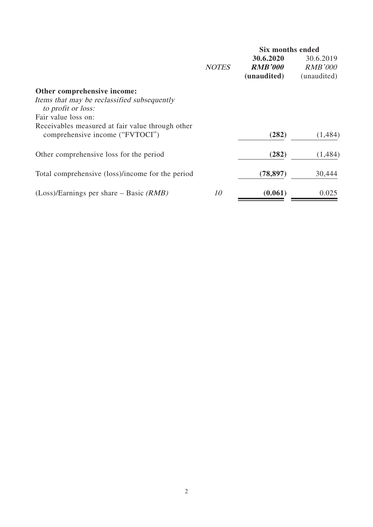|                                                  | <b>Six months ended</b> |                |                |  |
|--------------------------------------------------|-------------------------|----------------|----------------|--|
|                                                  |                         | 30.6.2020      | 30.6.2019      |  |
|                                                  | <b>NOTES</b>            | <b>RMB'000</b> | <b>RMB'000</b> |  |
|                                                  |                         | (unaudited)    | (unaudited)    |  |
| Other comprehensive income:                      |                         |                |                |  |
| Items that may be reclassified subsequently      |                         |                |                |  |
| to profit or loss:                               |                         |                |                |  |
| Fair value loss on:                              |                         |                |                |  |
| Receivables measured at fair value through other |                         |                |                |  |
| comprehensive income ("FVTOCI")                  |                         | (282)          | (1,484)        |  |
| Other comprehensive loss for the period          |                         | (282)          | (1,484)        |  |
|                                                  |                         |                |                |  |
| Total comprehensive (loss)/income for the period |                         | (78, 897)      | 30,444         |  |
|                                                  |                         |                |                |  |
| $(Loss)/Earnings$ per share – Basic (RMB)        | 10                      | (0.061)        | 0.025          |  |
|                                                  |                         |                |                |  |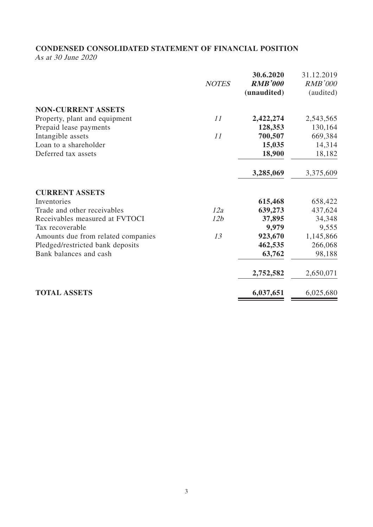# **CONDENSED CONSOLIDATED STATEMENT OF FINANCIAL POSITION**

As at 30 June 2020

|                                    | <b>NOTES</b> | 30.6.2020<br><b>RMB'000</b><br>(unaudited) | 31.12.2019<br><b>RMB'000</b><br>(audited) |
|------------------------------------|--------------|--------------------------------------------|-------------------------------------------|
| <b>NON-CURRENT ASSETS</b>          |              |                                            |                                           |
| Property, plant and equipment      | 11           | 2,422,274                                  | 2,543,565                                 |
| Prepaid lease payments             |              | 128,353                                    | 130,164                                   |
| Intangible assets                  | 11           | 700,507                                    | 669,384                                   |
| Loan to a shareholder              |              | 15,035                                     | 14,314                                    |
| Deferred tax assets                |              | 18,900                                     | 18,182                                    |
|                                    |              | 3,285,069                                  | 3,375,609                                 |
| <b>CURRENT ASSETS</b>              |              |                                            |                                           |
| Inventories                        |              | 615,468                                    | 658,422                                   |
| Trade and other receivables        | 12a          | 639,273                                    | 437,624                                   |
| Receivables measured at FVTOCI     | 12b          | 37,895                                     | 34,348                                    |
| Tax recoverable                    |              | 9,979                                      | 9,555                                     |
| Amounts due from related companies | 13           | 923,670                                    | 1,145,866                                 |
| Pledged/restricted bank deposits   |              | 462,535                                    | 266,068                                   |
| Bank balances and cash             |              | 63,762                                     | 98,188                                    |
|                                    |              | 2,752,582                                  | 2,650,071                                 |
| <b>TOTAL ASSETS</b>                |              | 6,037,651                                  | 6,025,680                                 |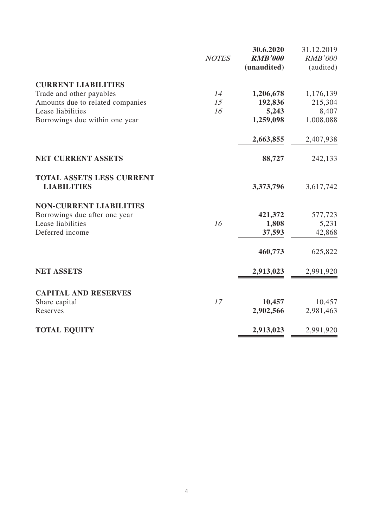|                                                        | <b>NOTES</b> | 30.6.2020<br><b>RMB'000</b><br>(unaudited) | 31.12.2019<br><b>RMB'000</b><br>(audited) |
|--------------------------------------------------------|--------------|--------------------------------------------|-------------------------------------------|
| <b>CURRENT LIABILITIES</b>                             |              |                                            |                                           |
| Trade and other payables                               | 14           | 1,206,678                                  | 1,176,139                                 |
| Amounts due to related companies                       | 15           | 192,836                                    | 215,304                                   |
| Lease liabilities                                      | 16           | 5,243                                      | 8,407                                     |
| Borrowings due within one year                         |              | 1,259,098                                  | 1,008,088                                 |
|                                                        |              | 2,663,855                                  | 2,407,938                                 |
| <b>NET CURRENT ASSETS</b>                              |              | 88,727                                     | 242,133                                   |
| <b>TOTAL ASSETS LESS CURRENT</b><br><b>LIABILITIES</b> |              | 3,373,796                                  | 3,617,742                                 |
| <b>NON-CURRENT LIABILITIES</b>                         |              |                                            |                                           |
| Borrowings due after one year                          |              | 421,372                                    | 577,723                                   |
| Lease liabilities                                      | 16           | 1,808                                      | 5,231                                     |
| Deferred income                                        |              | 37,593                                     | 42,868                                    |
|                                                        |              | 460,773                                    | 625,822                                   |
| <b>NET ASSETS</b>                                      |              | 2,913,023                                  | 2,991,920                                 |
| <b>CAPITAL AND RESERVES</b>                            |              |                                            |                                           |
| Share capital                                          | 17           | 10,457                                     | 10,457                                    |
| Reserves                                               |              | 2,902,566                                  | 2,981,463                                 |
| <b>TOTAL EQUITY</b>                                    |              | 2,913,023                                  | 2,991,920                                 |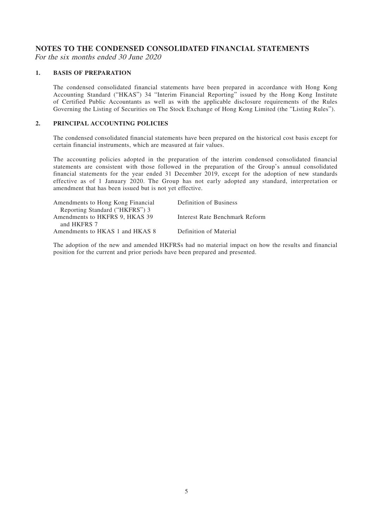## **NOTES TO THE CONDENSED CONSOLIDATED FINANCIAL STATEMENTS**

For the six months ended 30 June 2020

#### **1. BASIS OF PREPARATION**

The condensed consolidated financial statements have been prepared in accordance with Hong Kong Accounting Standard ("HKAS") 34 "Interim Financial Reporting" issued by the Hong Kong Institute of Certified Public Accountants as well as with the applicable disclosure requirements of the Rules Governing the Listing of Securities on The Stock Exchange of Hong Kong Limited (the "Listing Rules").

#### **2. PRINCIPAL ACCOUNTING POLICIES**

The condensed consolidated financial statements have been prepared on the historical cost basis except for certain financial instruments, which are measured at fair values.

The accounting policies adopted in the preparation of the interim condensed consolidated financial statements are consistent with those followed in the preparation of the Group's annual consolidated financial statements for the year ended 31 December 2019, except for the adoption of new standards effective as of 1 January 2020. The Group has not early adopted any standard, interpretation or amendment that has been issued but is not yet effective.

| Definition of Business         |
|--------------------------------|
|                                |
| Interest Rate Benchmark Reform |
|                                |
| Definition of Material         |
|                                |

The adoption of the new and amended HKFRSs had no material impact on how the results and financial position for the current and prior periods have been prepared and presented.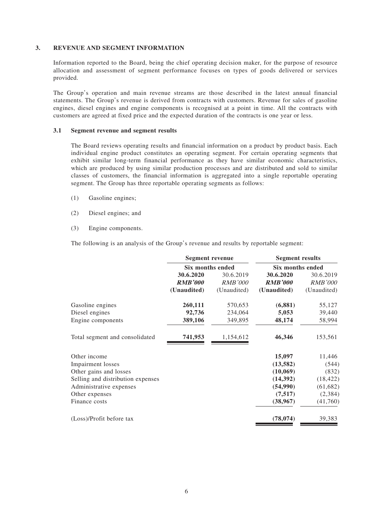#### **3. REVENUE AND SEGMENT INFORMATION**

Information reported to the Board, being the chief operating decision maker, for the purpose of resource allocation and assessment of segment performance focuses on types of goods delivered or services provided.

The Group's operation and main revenue streams are those described in the latest annual financial statements. The Group's revenue is derived from contracts with customers. Revenue for sales of gasoline engines, diesel engines and engine components is recognised at a point in time. All the contracts with customers are agreed at fixed price and the expected duration of the contracts is one year or less.

#### **3.1 Segment revenue and segment results**

The Board reviews operating results and financial information on a product by product basis. Each individual engine product constitutes an operating segment. For certain operating segments that exhibit similar long-term financial performance as they have similar economic characteristics, which are produced by using similar production processes and are distributed and sold to similar classes of customers, the financial information is aggregated into a single reportable operating segment. The Group has three reportable operating segments as follows:

- (1) Gasoline engines;
- (2) Diesel engines; and
- (3) Engine components.

The following is an analysis of the Group's revenue and results by reportable segment:

| <b>Six months ended</b> |                | Six months ended |                                               |
|-------------------------|----------------|------------------|-----------------------------------------------|
| 30.6.2020               | 30.6.2019      | 30.6.2020        | 30.6.2019                                     |
| <b>RMB'000</b>          | <i>RMB'000</i> | <b>RMB'000</b>   | <i>RMB'000</i>                                |
| (Unaudited)             | (Unaudited)    | (Unaudited)      | (Unaudited)                                   |
|                         | 570,653        | (6, 881)         | 55,127                                        |
| 92,736                  | 234,064        | 5,053            | 39,440                                        |
| 389,106                 | 349,895        | 48,174           | 58,994                                        |
| 741,953                 | 1,154,612      | 46,346           | 153,561                                       |
|                         |                |                  | 11,446                                        |
|                         |                |                  | (544)                                         |
|                         |                | (10,069)         | (832)                                         |
|                         |                | (14, 392)        | (18, 422)                                     |
|                         |                | (54,990)         | (61, 682)                                     |
|                         |                | (7,517)          | (2,384)                                       |
|                         |                | (38,967)         | (41,760)                                      |
|                         |                | (78, 074)        | 39,383                                        |
|                         | 260,111        | Segment revenue  | <b>Segment results</b><br>15,097<br>(13, 582) |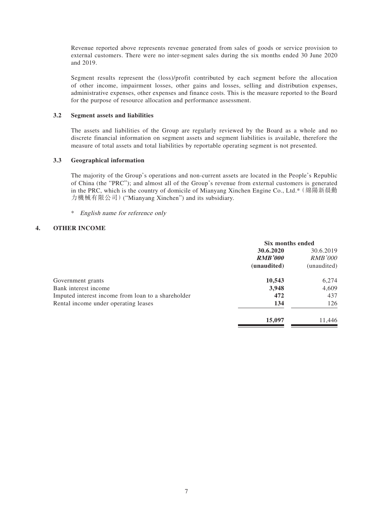Revenue reported above represents revenue generated from sales of goods or service provision to external customers. There were no inter-segment sales during the six months ended 30 June 2020 and 2019.

Segment results represent the (loss)/profit contributed by each segment before the allocation of other income, impairment losses, other gains and losses, selling and distribution expenses, administrative expenses, other expenses and finance costs. This is the measure reported to the Board for the purpose of resource allocation and performance assessment.

#### **3.2 Segment assets and liabilities**

The assets and liabilities of the Group are regularly reviewed by the Board as a whole and no discrete financial information on segment assets and segment liabilities is available, therefore the measure of total assets and total liabilities by reportable operating segment is not presented.

#### **3.3 Geographical information**

The majority of the Group's operations and non-current assets are located in the People's Republic of China (the "PRC"); and almost all of the Group's revenue from external customers is generated in the PRC, which is the country of domicile of Mianyang Xinchen Engine Co., Ltd.\*(綿陽新晨動 力機械有限公司)("Mianyang Xinchen") and its subsidiary.

\* English name for reference only

#### **4. OTHER INCOME**

|                                                    | Six months ended |                |
|----------------------------------------------------|------------------|----------------|
|                                                    | 30.6.2020        | 30.6.2019      |
|                                                    | <b>RMB'000</b>   | <i>RMB'000</i> |
|                                                    | (unaudited)      | (unaudited)    |
| Government grants                                  | 10,543           | 6,274          |
| Bank interest income                               | 3,948            | 4,609          |
| Imputed interest income from loan to a shareholder | 472              | 437            |
| Rental income under operating leases               | 134              | 126            |
|                                                    | 15,097           | 11,446         |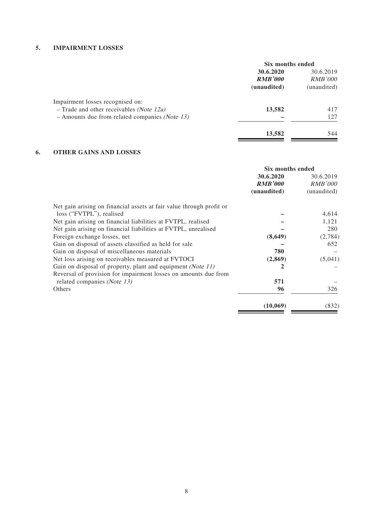### **5. IMPAIRMENT LOSSES**

|                                                           | Six months ended |                |
|-----------------------------------------------------------|------------------|----------------|
|                                                           | 30.6.2020        | 30.6.2019      |
|                                                           | <b>RMB'000</b>   | <b>RMB'000</b> |
|                                                           | (unaudited)      | (unaudited)    |
| Impairment losses recognised on:                          |                  |                |
| $-$ Trade and other receivables <i>(Note 12a)</i>         | 13,582           | 417            |
| $-$ Amounts due from related companies ( <i>Note 13</i> ) |                  | 127            |
|                                                           | 13,582           | 544            |
|                                                           |                  |                |

### **6. OTHER GAINS AND LOSSES**

|                                                                      | Six months ended |                |
|----------------------------------------------------------------------|------------------|----------------|
|                                                                      | 30.6.2020        | 30.6.2019      |
|                                                                      | <b>RMB'000</b>   | <b>RMB'000</b> |
|                                                                      | (unaudited)      | (unaudited)    |
| Net gain arising on financial assets at fair value through profit or |                  |                |
| loss ("FVTPL"), realised                                             |                  | 4,614          |
| Net gain arising on financial liabilities at FVTPL, realised         |                  | 1,121          |
| Net gain arising on financial liabilities at FVTPL, unrealised       |                  | 280            |
| Foreign exchange losses, net                                         | (8,649)          | (2,784)        |
| Gain on disposal of assets classified as held for sale               |                  | 652            |
| Gain on disposal of miscellaneous materials                          | 780              |                |
| Net loss arising on receivables measured at FVTOCI                   | (2,869)          | (5,041)        |
| Gain on disposal of property, plant and equipment (Note 11)          | 2                |                |
| Reversal of provision for impairment losses on amounts due from      |                  |                |
| related companies (Note 13)                                          | 571              |                |
| Others                                                               | 96               | 326            |
|                                                                      | (10,069)         | (832)          |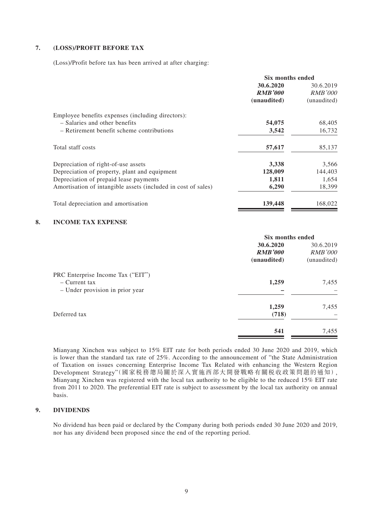#### **7. (LOSS)/PROFIT BEFORE TAX**

(Loss)/Profit before tax has been arrived at after charging:

|                                                               | Six months ended |                |
|---------------------------------------------------------------|------------------|----------------|
|                                                               | 30.6.2020        | 30.6.2019      |
|                                                               | <b>RMB'000</b>   | <i>RMB'000</i> |
|                                                               | (unaudited)      | (unaudited)    |
| Employee benefits expenses (including directors):             |                  |                |
| - Salaries and other benefits                                 | 54,075           | 68,405         |
| - Retirement benefit scheme contributions                     | 3,542            | 16,732         |
| Total staff costs                                             | 57,617           | 85,137         |
| Depreciation of right-of-use assets                           | 3,338            | 3,566          |
| Depreciation of property, plant and equipment                 | 128,009          | 144,403        |
| Depreciation of prepaid lease payments                        | 1,811            | 1,654          |
| Amortisation of intangible assets (included in cost of sales) | 6,290            | 18,399         |
| Total depreciation and amortisation                           | 139,448          | 168,022        |

#### **8. INCOME TAX EXPENSE**

|                                                                                         | Six months ended                           |                                            |
|-----------------------------------------------------------------------------------------|--------------------------------------------|--------------------------------------------|
|                                                                                         | 30.6.2020<br><b>RMB'000</b><br>(unaudited) | 30.6.2019<br><b>RMB'000</b><br>(unaudited) |
| PRC Enterprise Income Tax ("EIT")<br>$-$ Current tax<br>- Under provision in prior year | 1,259                                      | 7,455                                      |
| Deferred tax                                                                            | 1,259<br>(718)                             | 7,455                                      |
|                                                                                         | 541                                        | 7,455                                      |

Mianyang Xinchen was subject to 15% EIT rate for both periods ended 30 June 2020 and 2019, which is lower than the standard tax rate of 25%. According to the announcement of "the State Administration of Taxation on issues concerning Enterprise Income Tax Related with enhancing the Western Region Development Strategy"(國家税務總局關於深入實施西部大開發戰略有關税收政策問題的通知), Mianyang Xinchen was registered with the local tax authority to be eligible to the reduced 15% EIT rate from 2011 to 2020. The preferential EIT rate is subject to assessment by the local tax authority on annual basis.

### **9. DIVIDENDS**

No dividend has been paid or declared by the Company during both periods ended 30 June 2020 and 2019, nor has any dividend been proposed since the end of the reporting period.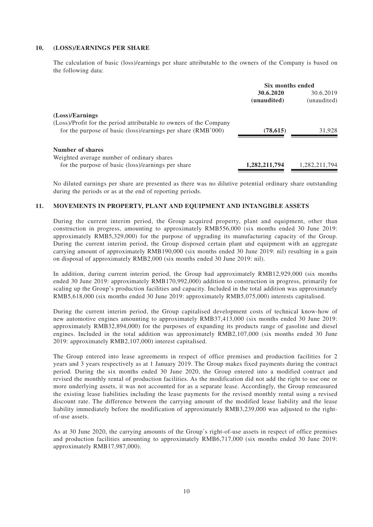#### **10. (LOSS)/EARNINGS PER SHARE**

The calculation of basic (loss)/earnings per share attributable to the owners of the Company is based on the following data:

|                                                                                                  |                          | Six months ended         |  |
|--------------------------------------------------------------------------------------------------|--------------------------|--------------------------|--|
|                                                                                                  | 30.6.2020<br>(unaudited) | 30.6.2019<br>(unaudited) |  |
| (Loss)/Earnings<br>(Loss)/Profit for the period attributable to owners of the Company            |                          |                          |  |
| for the purpose of basic (loss)/earnings per share (RMB'000)                                     | (78, 615)                | 31,928                   |  |
| Number of shares                                                                                 |                          |                          |  |
| Weighted average number of ordinary shares<br>for the purpose of basic (loss)/earnings per share | 1,282,211,794            | 1,282,211,794            |  |

No diluted earnings per share are presented as there was no dilutive potential ordinary share outstanding during the periods or as at the end of reporting periods.

#### **11. MOVEMENTS IN PROPERTY, PLANT AND EQUIPMENT AND INTANGIBLE ASSETS**

During the current interim period, the Group acquired property, plant and equipment, other than construction in progress, amounting to approximately RMB556,000 (six months ended 30 June 2019: approximately RMB5,329,000) for the purpose of upgrading its manufacturing capacity of the Group. During the current interim period, the Group disposed certain plant and equipment with an aggregate carrying amount of approximately RMB190,000 (six months ended 30 June 2019: nil) resulting in a gain on disposal of approximately RMB2,000 (six months ended 30 June 2019: nil).

In addition, during current interim period, the Group had approximately RMB12,929,000 (six months ended 30 June 2019: approximately RMB170,992,000) addition to construction in progress, primarily for scaling up the Group's production facilities and capacity. Included in the total addition was approximately RMB5,618,000 (six months ended 30 June 2019: approximately RMB5,075,000) interests capitalised.

During the current interim period, the Group capitalised development costs of technical know-how of new automotive engines amounting to approximately RMB37,413,000 (six months ended 30 June 2019: approximately RMB32,894,000) for the purposes of expanding its products range of gasoline and diesel engines. Included in the total addition was approximately RMB2,107,000 (six months ended 30 June 2019: approximately RMB2,107,000) interest capitalised.

The Group entered into lease agreements in respect of office premises and production facilities for 2 years and 3 years respectively as at 1 January 2019. The Group makes fixed payments during the contract period. During the six months ended 30 June 2020, the Group entered into a modified contract and revised the monthly rental of production facilities. As the modification did not add the right to use one or more underlying assets, it was not accounted for as a separate lease. Accordingly, the Group remeasured the existing lease liabilities including the lease payments for the revised monthly rental using a revised discount rate. The difference between the carrying amount of the modified lease liability and the lease liability immediately before the modification of approximately RMB3,239,000 was adjusted to the rightof-use assets.

As at 30 June 2020, the carrying amounts of the Group's right-of-use assets in respect of office premises and production facilities amounting to approximately RMB6,717,000 (six months ended 30 June 2019: approximately RMB17,987,000).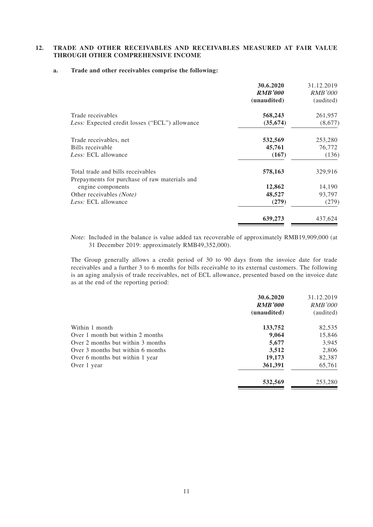#### **12. TRADE AND OTHER RECEIVABLES AND RECEIVABLES MEASURED AT FAIR VALUE THROUGH OTHER COMPREHENSIVE INCOME**

#### **a. Trade and other receivables comprise the following:**

|                                                                    | 30.6.2020<br><b>RMB'000</b><br>(unaudited) | 31.12.2019<br><i>RMB'000</i><br>(audited) |
|--------------------------------------------------------------------|--------------------------------------------|-------------------------------------------|
| Trade receivables                                                  | 568,243                                    | 261,957                                   |
| <i>Less:</i> Expected credit losses ("ECL") allowance              | (35, 674)                                  | (8,677)                                   |
| Trade receivables, net                                             | 532,569                                    | 253,280                                   |
| Bills receivable                                                   | 45,761                                     | 76,772                                    |
| Less: ECL allowance                                                | (167)                                      | (136)                                     |
| Total trade and bills receivables                                  | 578,163                                    | 329,916                                   |
| Prepayments for purchase of raw materials and<br>engine components | 12,862                                     | 14,190                                    |
| Other receivables ( <i>Note</i> )                                  | 48,527                                     | 93,797                                    |
| Less: ECL allowance                                                | (279)                                      | (279)                                     |
|                                                                    | 639,273                                    | 437,624                                   |

Note: Included in the balance is value added tax recoverable of approximately RMB19,909,000 (at 31 December 2019: approximately RMB49,352,000).

The Group generally allows a credit period of 30 to 90 days from the invoice date for trade receivables and a further 3 to 6 months for bills receivable to its external customers. The following is an aging analysis of trade receivables, net of ECL allowance, presented based on the invoice date as at the end of the reporting period:

|                                   | 30.6.2020<br><b>RMB'000</b><br>(unaudited) | 31.12.2019<br><b>RMB'000</b><br>(audited) |
|-----------------------------------|--------------------------------------------|-------------------------------------------|
| Within 1 month                    | 133,752                                    | 82,535                                    |
| Over 1 month but within 2 months  | 9,064                                      | 15,846                                    |
| Over 2 months but within 3 months | 5,677                                      | 3,945                                     |
| Over 3 months but within 6 months | 3,512                                      | 2,806                                     |
| Over 6 months but within 1 year   | 19,173                                     | 82,387                                    |
| Over 1 year                       | 361,391                                    | 65,761                                    |
|                                   | 532,569                                    | 253,280                                   |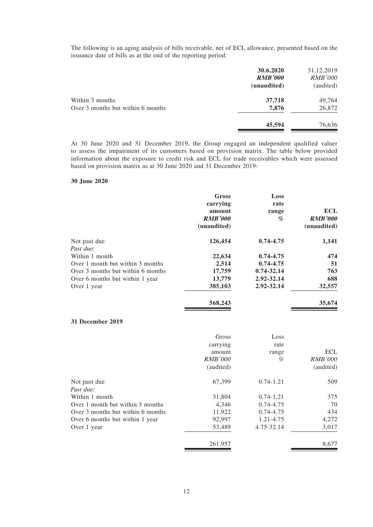The following is an aging analysis of bills receivable, net of ECL allowance, presented based on the issuance date of bills as at the end of the reporting period:

|                                   | 30.6.2020<br><b>RMB'000</b><br>(unaudited) | 31.12.2019<br><i>RMB'000</i><br>(audited) |
|-----------------------------------|--------------------------------------------|-------------------------------------------|
| Within 3 months                   | 37,718                                     | 49,764                                    |
| Over 3 months but within 6 months | 7,876                                      | 26,872                                    |
|                                   | 45,594                                     | 76,636                                    |

At 30 June 2020 and 31 December 2019, the Group engaged an independent qualified valuer to assess the impairment of its customers based on provision matrix. The table below provided information about the exposure to credit risk and ECL for trade receivables which were assessed based on provision matrix as at 30 June 2020 and 31 December 2019:

#### **30 June 2020**

|                                   | <b>Gross</b><br>carrying<br>amount<br><b>RMB'000</b><br>(unaudited) | Loss<br>rate<br>range<br>% | <b>ECL</b><br><b>RMB'000</b><br>(unaudited) |
|-----------------------------------|---------------------------------------------------------------------|----------------------------|---------------------------------------------|
| Not past due                      | 126,454                                                             | 0.74-4.75                  | 1,141                                       |
| Past due:<br>Within 1 month       | 22,634                                                              | 0.74-4.75                  | 474                                         |
| Over 1 month but within 3 months  | 2,514                                                               | 0.74-4.75                  | 51                                          |
| Over 3 months but within 6 months | 17,759                                                              | 0.74-32.14                 | 763                                         |
| Over 6 months but within 1 year   | 13,779                                                              | 2.92-32.14                 | 688                                         |
| Over 1 year                       | 385,103                                                             | 2.92-32.14                 | 32,557                                      |
|                                   | 568,243                                                             |                            | 35,674                                      |
| 31 December 2019                  |                                                                     |                            |                                             |
|                                   | Gross                                                               | Loss                       |                                             |
|                                   | carrying                                                            | rate                       |                                             |
|                                   | amount                                                              | range                      | <b>ECL</b>                                  |
|                                   | <b>RMB'000</b>                                                      | %                          | <b>RMB'000</b>                              |
|                                   | (audited)                                                           |                            | (audited)                                   |
| Not past due                      | 67,399                                                              | $0.74 - 1.21$              | 509                                         |
| Past due:                         |                                                                     |                            |                                             |
| Within 1 month                    | 31,804                                                              | $0.74 - 1.21$              | 375                                         |
| Over 1 month but within 3 months  | 4,346                                                               | $0.74 - 4.75$              | 70                                          |
| Over 3 months but within 6 months | 11,922                                                              | $0.74 - 4.75$              | 434                                         |
| Over 6 months but within 1 year   | 92,997                                                              | 1.21-4.75                  | 4,272                                       |
| Over 1 year                       | 53,489                                                              | 4.75-32.14                 | 3,017                                       |

261,957 8,677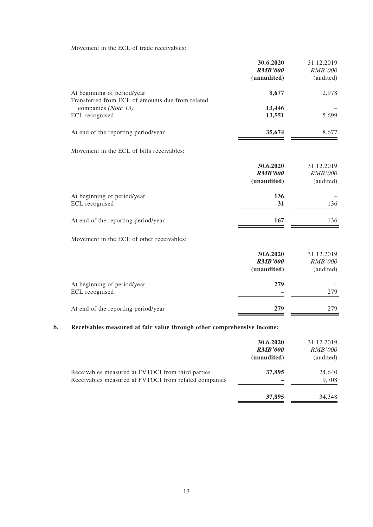Movement in the ECL of trade receivables:

| 31.12.2019<br><b>RMB'000</b><br>(audited) | 30.6.2020<br><b>RMB'000</b><br>(unaudited) |                                                                                 |
|-------------------------------------------|--------------------------------------------|---------------------------------------------------------------------------------|
| 2,978                                     | 8,677                                      | At beginning of period/year<br>Transferred from ECL of amounts due from related |
|                                           | 13,446                                     | companies (Note 13)                                                             |
| 5,699                                     | 13,551                                     | ECL recognised                                                                  |
| 8,677                                     | 35,674                                     | At end of the reporting period/year                                             |
|                                           |                                            | Movement in the ECL of bills receivables:                                       |
| 31.12.2019<br><b>RMB'000</b><br>(audited) | 30.6.2020<br><b>RMB'000</b><br>(unaudited) |                                                                                 |
| 136                                       | 136<br>31                                  | At beginning of period/year<br>ECL recognised                                   |
| 136                                       | 167                                        | At end of the reporting period/year                                             |
|                                           |                                            | Movement in the ECL of other receivables:                                       |
| 31.12.2019                                | 30.6.2020                                  |                                                                                 |
| <b>RMB'000</b>                            | <b>RMB'000</b>                             |                                                                                 |
| (audited)                                 | (unaudited)                                |                                                                                 |
|                                           | 279                                        | At beginning of period/year                                                     |
| 279                                       |                                            | ECL recognised                                                                  |
| 279                                       | 279                                        | At end of the reporting period/year                                             |

|                                                                                                            | 30.6.2020<br><b>RMB'000</b><br>(unaudited) | 31.12.2019<br><b>RMB'000</b><br>(audited) |
|------------------------------------------------------------------------------------------------------------|--------------------------------------------|-------------------------------------------|
| Receivables measured at FVTOCI from third parties<br>Receivables measured at FVTOCI from related companies | 37,895                                     | 24,640<br>9,708                           |
|                                                                                                            | 37,895                                     | 34,348                                    |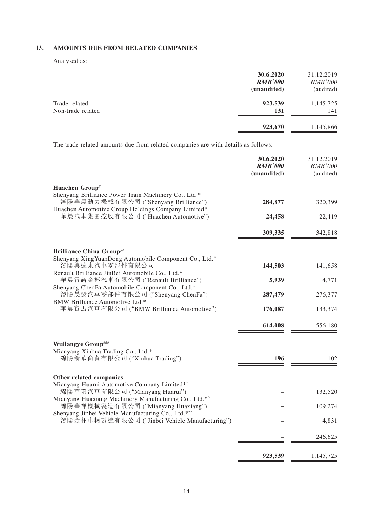### **13. AMOUNTS DUE FROM RELATED COMPANIES**

Analysed as:

|                   | 30.6.2020      | 31.12.2019     |
|-------------------|----------------|----------------|
|                   | <b>RMB'000</b> | <i>RMB'000</i> |
|                   | (unaudited)    | (audited)      |
| Trade related     | 923,539        | 1,145,725      |
| Non-trade related | 131            | 141            |
|                   | 923,670        | 1,145,866      |

The trade related amounts due from related companies are with details as follows:

|                                                                                                                | 30.6.2020<br><b>RMB'000</b><br>(unaudited) | 31.12.2019<br><b>RMB'000</b><br>(audited) |
|----------------------------------------------------------------------------------------------------------------|--------------------------------------------|-------------------------------------------|
| Huachen Group#<br>Shenyang Brilliance Power Train Machinery Co., Ltd.*<br>瀋陽華晨動力機械有限公司 ("Shenyang Brilliance") | 284,877                                    | 320,399                                   |
| Huachen Automotive Group Holdings Company Limited*<br>華晨汽車集團控股有限公司 ("Huachen Automotive")                      | 24,458                                     | 22,419                                    |
|                                                                                                                | 309,335                                    | 342,818                                   |
| <b>Brilliance China Group##</b><br>Shenyang XingYuanDong Automobile Component Co., Ltd.*                       |                                            |                                           |
| 瀋陽興遠東汽車零部件有限公司                                                                                                 | 144,503                                    | 141,658                                   |
| Renault Brilliance JinBei Automobile Co., Ltd.*<br>華晨雷諾金杯汽車有限公司 ("Renault Brilliance")                         | 5,939                                      | 4,771                                     |
| Shenyang ChenFa Automobile Component Co., Ltd.*<br>瀋陽晨發汽車零部件有限公司 ("Shenyang ChenFa")                           | 287,479                                    | 276,377                                   |
| BMW Brilliance Automotive Ltd.*<br>華晨寶馬汽車有限公司 ("BMW Brilliance Automotive")                                    | 176,087                                    | 133,374                                   |
|                                                                                                                | 614,008                                    | 556,180                                   |
| <b>Wuliangye Group###</b><br>Mianyang Xinhua Trading Co., Ltd.*<br>綿陽新華商貿有限公司 ("Xinhua Trading")               | 196                                        | 102                                       |
| Other related companies<br>Mianyang Huarui Automotive Company Limited*^<br>綿陽華瑞汽車有限公司 ("Mianyang Huarui")      |                                            | 132,520                                   |
| Mianyang Huaxiang Machinery Manufacturing Co., Ltd.*^                                                          |                                            |                                           |
| 綿陽華祥機械製造有限公司 ("Mianyang Huaxiang")<br>Shenyang Jinbei Vehicle Manufacturing Co., Ltd.*^^                       |                                            | 109,274                                   |
| 瀋陽金杯車輛製造有限公司 ("Jinbei Vehicle Manufacturing")                                                                  |                                            | 4,831                                     |
|                                                                                                                |                                            | 246,625                                   |
|                                                                                                                | 923,539                                    | 1,145,725                                 |
|                                                                                                                |                                            |                                           |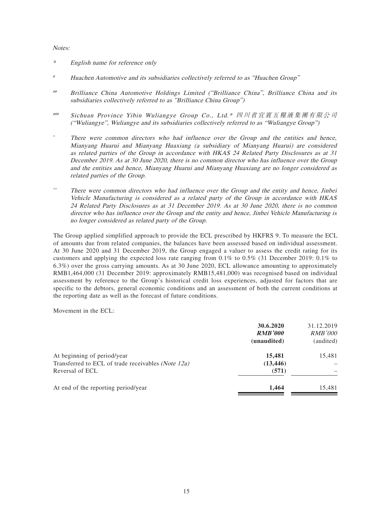#### Notes:

- \* English name for reference only
- # Huachen Automotive and its subsidiaries collectively referred to as "Huachen Group"
- ## Brilliance China Automotive Holdings Limited ("Brilliance China", Brilliance China and its subsidiaries collectively referred to as "Brilliance China Group")
- ### Sichuan Province Yibin Wuliangye Group Co., Ltd.\* 四川省宜賓五糧液集團有限公司 ("Wuliangye", Wuliangye and its subsidiaries collectively referred to as "Wuliangye Group")
- There were common directors who had influence over the Group and the entities and hence, Mianyang Huarui and Mianyang Huaxiang (a subsidiary of Mianyang Huarui) are considered as related parties of the Group in accordance with HKAS 24 Related Party Disclosures as at 31 December 2019. As at 30 June 2020, there is no common director who has influence over the Group and the entities and hence, Mianyang Huarui and Mianyang Huaxiang are no longer considered as related parties of the Group.
- $\degree$  There were common directors who had influence over the Group and the entity and hence, Jinbei Vehicle Manufacturing is considered as a related party of the Group in accordance with HKAS 24 Related Party Disclosures as at 31 December 2019. As at 30 June 2020, there is no common director who has influence over the Group and the entity and hence, Jinbei Vehicle Manufacturing is no longer considered as related party of the Group.

The Group applied simplified approach to provide the ECL prescribed by HKFRS 9. To measure the ECL of amounts due from related companies, the balances have been assessed based on individual assessment. At 30 June 2020 and 31 December 2019, the Group engaged a valuer to assess the credit rating for its customers and applying the expected loss rate ranging from 0.1% to 0.5% (31 December 2019: 0.1% to 6.3%) over the gross carrying amounts. As at 30 June 2020, ECL allowance amounting to approximately RMB1,464,000 (31 December 2019: approximately RMB15,481,000) was recognised based on individual assessment by reference to the Group's historical credit loss experiences, adjusted for factors that are specific to the debtors, general economic conditions and an assessment of both the current conditions at the reporting date as well as the forecast of future conditions.

Movement in the ECL:

|                                                                                                      | 30.6.2020<br><b>RMB'000</b><br>(unaudited) | 31.12.2019<br><b>RMB'000</b><br>(audited) |
|------------------------------------------------------------------------------------------------------|--------------------------------------------|-------------------------------------------|
| At beginning of period/year<br>Transferred to ECL of trade receivables (Note 12a)<br>Reversal of ECL | 15,481<br>(13, 446)<br>(571)               | 15,481                                    |
| At end of the reporting period/year                                                                  | 1,464                                      | 15,481                                    |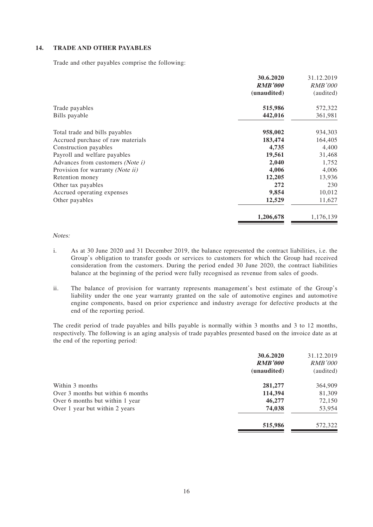#### **14. TRADE AND OTHER PAYABLES**

Trade and other payables comprise the following:

|                                         | 30.6.2020      | 31.12.2019     |
|-----------------------------------------|----------------|----------------|
|                                         | <b>RMB'000</b> | <i>RMB'000</i> |
|                                         | (unaudited)    | (audited)      |
| Trade payables                          | 515,986        | 572,322        |
| Bills payable                           | 442,016        | 361,981        |
| Total trade and bills payables          | 958,002        | 934,303        |
| Accrued purchase of raw materials       | 183,474        | 164,405        |
| Construction payables                   | 4,735          | 4,400          |
| Payroll and welfare payables            | 19,561         | 31,468         |
| Advances from customers <i>(Note i)</i> | 2,040          | 1,752          |
| Provision for warranty (Note ii)        | 4,006          | 4,006          |
| Retention money                         | 12,205         | 13,936         |
| Other tax payables                      | 272            | 230            |
| Accrued operating expenses              | 9,854          | 10,012         |
| Other payables                          | 12,529         | 11,627         |
|                                         | 1,206,678      | 1,176,139      |

#### Notes:

- i. As at 30 June 2020 and 31 December 2019, the balance represented the contract liabilities, i.e. the Group's obligation to transfer goods or services to customers for which the Group had received consideration from the customers. During the period ended 30 June 2020, the contract liabilities balance at the beginning of the period were fully recognised as revenue from sales of goods.
- ii. The balance of provision for warranty represents management's best estimate of the Group's liability under the one year warranty granted on the sale of automotive engines and automotive engine components, based on prior experience and industry average for defective products at the end of the reporting period.

The credit period of trade payables and bills payable is normally within 3 months and 3 to 12 months, respectively. The following is an aging analysis of trade payables presented based on the invoice date as at the end of the reporting period:

| 30.6.2020      | 31.12.2019     |
|----------------|----------------|
| <b>RMB'000</b> | <b>RMB'000</b> |
| (unaudited)    | (audited)      |
| 281,277        | 364,909        |
| 114,394        | 81,309         |
| 46,277         | 72,150         |
| 74,038         | 53,954         |
| 515,986        | 572,322        |
|                |                |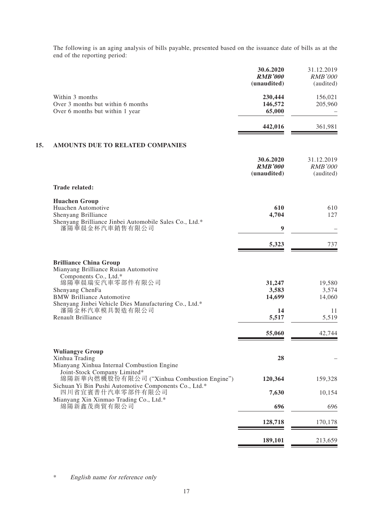The following is an aging analysis of bills payable, presented based on the issuance date of bills as at the end of the reporting period:

|     |                                                                                                                                                                                                                                                     | 30.6.2020<br><b>RMB'000</b><br>(unaudited) | 31.12.2019<br><b>RMB'000</b><br>(audited) |
|-----|-----------------------------------------------------------------------------------------------------------------------------------------------------------------------------------------------------------------------------------------------------|--------------------------------------------|-------------------------------------------|
|     | Within 3 months<br>Over 3 months but within 6 months<br>Over 6 months but within 1 year                                                                                                                                                             | 230,444<br>146,572<br>65,000               | 156,021<br>205,960                        |
|     |                                                                                                                                                                                                                                                     | 442,016                                    | 361,981                                   |
| 15. | AMOUNTS DUE TO RELATED COMPANIES                                                                                                                                                                                                                    |                                            |                                           |
|     |                                                                                                                                                                                                                                                     | 30.6.2020<br><b>RMB'000</b><br>(unaudited) | 31.12.2019<br><b>RMB'000</b><br>(audited) |
|     | <b>Trade related:</b>                                                                                                                                                                                                                               |                                            |                                           |
|     | <b>Huachen Group</b><br>Huachen Automotive<br>Shenyang Brilliance<br>Shenyang Brilliance Jinbei Automobile Sales Co., Ltd.*                                                                                                                         | 610<br>4,704                               | 610<br>127                                |
|     | 瀋陽華晨金杯汽車銷售有限公司                                                                                                                                                                                                                                      | $\boldsymbol{9}$                           |                                           |
|     |                                                                                                                                                                                                                                                     | 5,323                                      | 737                                       |
|     | <b>Brilliance China Group</b><br>Mianyang Brilliance Ruian Automotive<br>Components Co., Ltd.*<br>綿陽華晨瑞安汽車零部件有限公司<br>Shenyang ChenFa<br><b>BMW Brilliance Automotive</b><br>Shenyang Jinbei Vehicle Dies Manufacturing Co., Ltd.*<br>瀋陽金杯汽車模具製造有限公司 | 31,247<br>3,583<br>14,699<br>14            | 19,580<br>3,574<br>14,060                 |
|     | <b>Renault Brilliance</b>                                                                                                                                                                                                                           | 5,517                                      | 11<br>5,519                               |
|     |                                                                                                                                                                                                                                                     | 55,060                                     | 42,744                                    |
|     | <b>Wuliangye Group</b><br>Xinhua Trading<br>Mianyang Xinhua Internal Combustion Engine                                                                                                                                                              | 28                                         |                                           |
|     | Joint-Stock Company Limited*<br>綿陽新華內燃機股份有限公司 ("Xinhua Combustion Engine")                                                                                                                                                                          | 120,364                                    | 159,328                                   |
|     | Sichuan Yi Bin Pushi Automotive Components Co., Ltd.*<br>四川省宜賓普什汽車零部件有限公司                                                                                                                                                                           | 7,630                                      | 10,154                                    |
|     | Mianyang Xin Xinmao Trading Co., Ltd.*<br>綿陽新鑫茂商貿有限公司                                                                                                                                                                                               | 696                                        | 696                                       |
|     |                                                                                                                                                                                                                                                     | 128,718                                    | 170,178                                   |
|     |                                                                                                                                                                                                                                                     | 189,101                                    | 213,659                                   |
|     |                                                                                                                                                                                                                                                     |                                            |                                           |

\* English name for reference only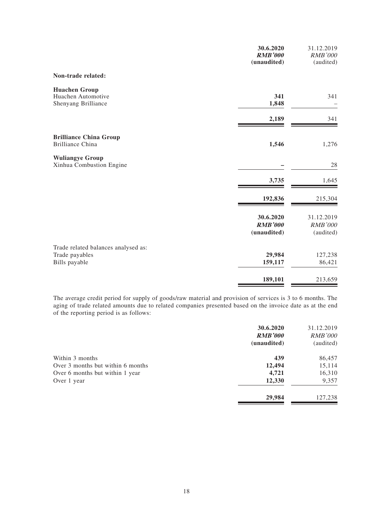|                                                                        | 30.6.2020<br><b>RMB'000</b><br>(unaudited) | 31.12.2019<br>RMB'000<br>(audited)        |
|------------------------------------------------------------------------|--------------------------------------------|-------------------------------------------|
| Non-trade related:                                                     |                                            |                                           |
| <b>Huachen Group</b><br>Huachen Automotive<br>Shenyang Brilliance      | 341<br>1,848                               | 341                                       |
|                                                                        | 2,189                                      | 341                                       |
| <b>Brilliance China Group</b><br><b>Brilliance China</b>               | 1,546                                      | 1,276                                     |
| <b>Wuliangye Group</b><br>Xinhua Combustion Engine                     |                                            | 28                                        |
|                                                                        | 3,735                                      | 1,645                                     |
|                                                                        | 192,836                                    | 215,304                                   |
|                                                                        | 30.6.2020<br><b>RMB'000</b><br>(unaudited) | 31.12.2019<br><b>RMB'000</b><br>(audited) |
| Trade related balances analysed as:<br>Trade payables<br>Bills payable | 29,984<br>159,117                          | 127,238<br>86,421                         |
|                                                                        | 189,101                                    | 213,659                                   |

The average credit period for supply of goods/raw material and provision of services is 3 to 6 months. The aging of trade related amounts due to related companies presented based on the invoice date as at the end of the reporting period is as follows:

| 30.6.2020      | 31.12.2019     |
|----------------|----------------|
| <b>RMB'000</b> | <b>RMB'000</b> |
| (unaudited)    | (audited)      |
| 439            | 86,457         |
| 12,494         | 15,114         |
| 4,721          | 16,310         |
| 12,330         | 9,357          |
| 29,984         | 127,238        |
|                |                |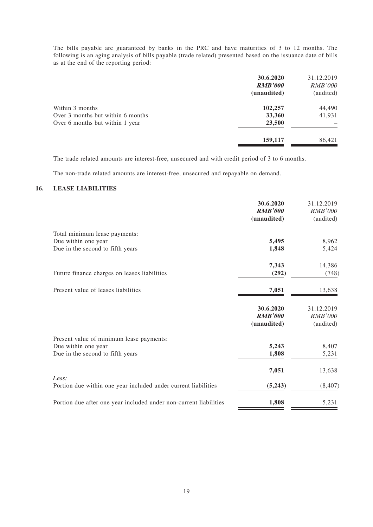The bills payable are guaranteed by banks in the PRC and have maturities of 3 to 12 months. The following is an aging analysis of bills payable (trade related) presented based on the issuance date of bills as at the end of the reporting period:

| 30.6.2020<br><b>RMB'000</b><br>(unaudited) | 31.12.2019<br><i>RMB'000</i><br>(audited) |
|--------------------------------------------|-------------------------------------------|
| 102,257                                    | 44,490                                    |
| 33,360                                     | 41,931                                    |
| 23,500                                     |                                           |
| 159,117                                    | 86,421                                    |
|                                            |                                           |

The trade related amounts are interest-free, unsecured and with credit period of 3 to 6 months.

The non-trade related amounts are interest-free, unsecured and repayable on demand.

### **16. LEASE LIABILITIES**

|                                                                         | 30.6.2020<br><b>RMB'000</b><br>(unaudited) | 31.12.2019<br><b>RMB'000</b><br>(audited) |
|-------------------------------------------------------------------------|--------------------------------------------|-------------------------------------------|
| Total minimum lease payments:                                           |                                            |                                           |
| Due within one year                                                     | 5,495                                      | 8,962                                     |
| Due in the second to fifth years                                        | 1,848                                      | 5,424                                     |
|                                                                         | 7,343                                      | 14,386                                    |
| Future finance charges on leases liabilities                            | (292)                                      | (748)                                     |
| Present value of leases liabilities                                     | 7,051                                      | 13,638                                    |
|                                                                         | 30.6.2020                                  | 31.12.2019                                |
|                                                                         | <b>RMB'000</b>                             | <b>RMB'000</b>                            |
|                                                                         | (unaudited)                                | (audited)                                 |
| Present value of minimum lease payments:                                |                                            |                                           |
| Due within one year                                                     | 5,243                                      | 8,407                                     |
| Due in the second to fifth years                                        | 1,808                                      | 5,231                                     |
|                                                                         | 7,051                                      | 13,638                                    |
| Less:<br>Portion due within one year included under current liabilities | (5,243)                                    | (8, 407)                                  |
| Portion due after one year included under non-current liabilities       | 1,808                                      | 5,231                                     |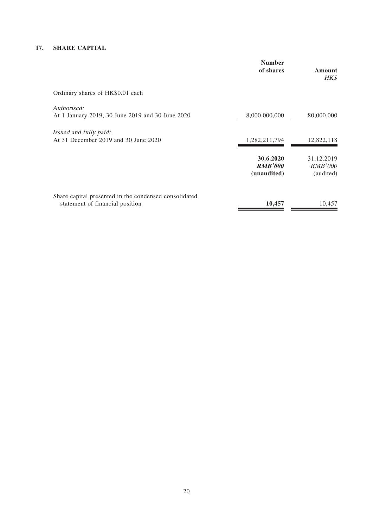### **17. SHARE CAPITAL**

|                                                                                          | <b>Number</b><br>of shares                 | Amount<br>HK\$                            |
|------------------------------------------------------------------------------------------|--------------------------------------------|-------------------------------------------|
| Ordinary shares of HK\$0.01 each                                                         |                                            |                                           |
| Authorised:<br>At 1 January 2019, 30 June 2019 and 30 June 2020                          | 8,000,000,000                              | 80,000,000                                |
| Issued and fully paid:<br>At 31 December 2019 and 30 June 2020                           | 1,282,211,794                              | 12,822,118                                |
|                                                                                          | 30.6.2020<br><b>RMB'000</b><br>(unaudited) | 31.12.2019<br><b>RMB'000</b><br>(audited) |
| Share capital presented in the condensed consolidated<br>statement of financial position | 10,457                                     | 10,457                                    |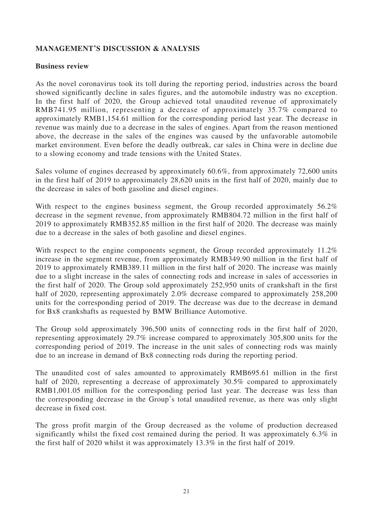# **MANAGEMENT'S DISCUSSION & ANALYSIS**

## **Business review**

As the novel coronavirus took its toll during the reporting period, industries across the board showed significantly decline in sales figures, and the automobile industry was no exception. In the first half of 2020, the Group achieved total unaudited revenue of approximately RMB741.95 million, representing a decrease of approximately 35.7% compared to approximately RMB1,154.61 million for the corresponding period last year. The decrease in revenue was mainly due to a decrease in the sales of engines. Apart from the reason mentioned above, the decrease in the sales of the engines was caused by the unfavorable automobile market environment. Even before the deadly outbreak, car sales in China were in decline due to a slowing economy and trade tensions with the United States.

Sales volume of engines decreased by approximately 60.6%, from approximately 72,600 units in the first half of 2019 to approximately 28,620 units in the first half of 2020, mainly due to the decrease in sales of both gasoline and diesel engines.

With respect to the engines business segment, the Group recorded approximately 56.2% decrease in the segment revenue, from approximately RMB804.72 million in the first half of 2019 to approximately RMB352.85 million in the first half of 2020. The decrease was mainly due to a decrease in the sales of both gasoline and diesel engines.

With respect to the engine components segment, the Group recorded approximately 11.2% increase in the segment revenue, from approximately RMB349.90 million in the first half of 2019 to approximately RMB389.11 million in the first half of 2020. The increase was mainly due to a slight increase in the sales of connecting rods and increase in sales of accessories in the first half of 2020. The Group sold approximately 252,950 units of crankshaft in the first half of 2020, representing approximately 2.0% decrease compared to approximately 258,200 units for the corresponding period of 2019. The decrease was due to the decrease in demand for Bx8 crankshafts as requested by BMW Brilliance Automotive.

The Group sold approximately 396,500 units of connecting rods in the first half of 2020, representing approximately 29.7% increase compared to approximately 305,800 units for the corresponding period of 2019. The increase in the unit sales of connecting rods was mainly due to an increase in demand of Bx8 connecting rods during the reporting period.

The unaudited cost of sales amounted to approximately RMB695.61 million in the first half of 2020, representing a decrease of approximately 30.5% compared to approximately RMB1,001.05 million for the corresponding period last year. The decrease was less than the corresponding decrease in the Group's total unaudited revenue, as there was only slight decrease in fixed cost.

The gross profit margin of the Group decreased as the volume of production decreased significantly whilst the fixed cost remained during the period. It was approximately 6.3% in the first half of 2020 whilst it was approximately 13.3% in the first half of 2019.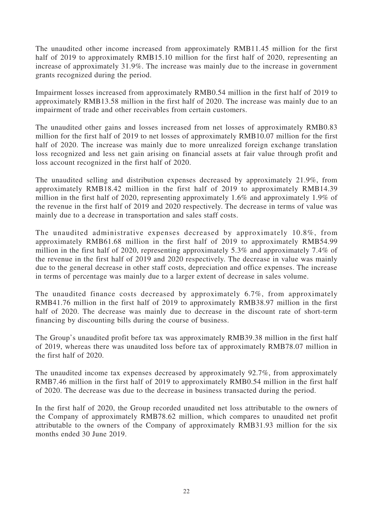The unaudited other income increased from approximately RMB11.45 million for the first half of 2019 to approximately RMB15.10 million for the first half of 2020, representing an increase of approximately 31.9%. The increase was mainly due to the increase in government grants recognized during the period.

Impairment losses increased from approximately RMB0.54 million in the first half of 2019 to approximately RMB13.58 million in the first half of 2020. The increase was mainly due to an impairment of trade and other receivables from certain customers.

The unaudited other gains and losses increased from net losses of approximately RMB0.83 million for the first half of 2019 to net losses of approximately RMB10.07 million for the first half of 2020. The increase was mainly due to more unrealized foreign exchange translation loss recognized and less net gain arising on financial assets at fair value through profit and loss account recognized in the first half of 2020.

The unaudited selling and distribution expenses decreased by approximately 21.9%, from approximately RMB18.42 million in the first half of 2019 to approximately RMB14.39 million in the first half of 2020, representing approximately 1.6% and approximately 1.9% of the revenue in the first half of 2019 and 2020 respectively. The decrease in terms of value was mainly due to a decrease in transportation and sales staff costs.

The unaudited administrative expenses decreased by approximately 10.8%, from approximately RMB61.68 million in the first half of 2019 to approximately RMB54.99 million in the first half of 2020, representing approximately 5.3% and approximately 7.4% of the revenue in the first half of 2019 and 2020 respectively. The decrease in value was mainly due to the general decrease in other staff costs, depreciation and office expenses. The increase in terms of percentage was mainly due to a larger extent of decrease in sales volume.

The unaudited finance costs decreased by approximately 6.7%, from approximately RMB41.76 million in the first half of 2019 to approximately RMB38.97 million in the first half of 2020. The decrease was mainly due to decrease in the discount rate of short-term financing by discounting bills during the course of business.

The Group's unaudited profit before tax was approximately RMB39.38 million in the first half of 2019, whereas there was unaudited loss before tax of approximately RMB78.07 million in the first half of 2020.

The unaudited income tax expenses decreased by approximately 92.7%, from approximately RMB7.46 million in the first half of 2019 to approximately RMB0.54 million in the first half of 2020. The decrease was due to the decrease in business transacted during the period.

In the first half of 2020, the Group recorded unaudited net loss attributable to the owners of the Company of approximately RMB78.62 million, which compares to unaudited net profit attributable to the owners of the Company of approximately RMB31.93 million for the six months ended 30 June 2019.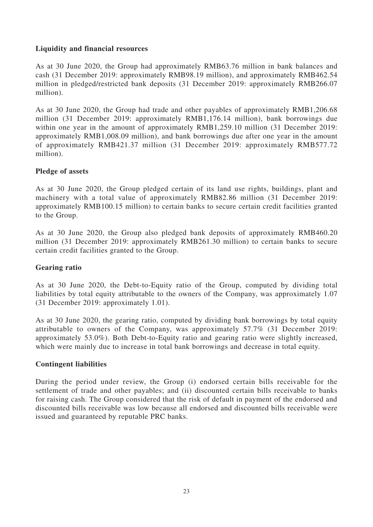# **Liquidity and financial resources**

As at 30 June 2020, the Group had approximately RMB63.76 million in bank balances and cash (31 December 2019: approximately RMB98.19 million), and approximately RMB462.54 million in pledged/restricted bank deposits (31 December 2019: approximately RMB266.07 million).

As at 30 June 2020, the Group had trade and other payables of approximately RMB1,206.68 million (31 December 2019: approximately RMB1,176.14 million), bank borrowings due within one year in the amount of approximately RMB1,259.10 million (31 December 2019: approximately RMB1,008.09 million), and bank borrowings due after one year in the amount of approximately RMB421.37 million (31 December 2019: approximately RMB577.72 million).

# **Pledge of assets**

As at 30 June 2020, the Group pledged certain of its land use rights, buildings, plant and machinery with a total value of approximately RMB82.86 million (31 December 2019: approximately RMB100.15 million) to certain banks to secure certain credit facilities granted to the Group.

As at 30 June 2020, the Group also pledged bank deposits of approximately RMB460.20 million (31 December 2019: approximately RMB261.30 million) to certain banks to secure certain credit facilities granted to the Group.

# **Gearing ratio**

As at 30 June 2020, the Debt-to-Equity ratio of the Group, computed by dividing total liabilities by total equity attributable to the owners of the Company, was approximately 1.07 (31 December 2019: approximately 1.01).

As at 30 June 2020, the gearing ratio, computed by dividing bank borrowings by total equity attributable to owners of the Company, was approximately 57.7% (31 December 2019: approximately 53.0%). Both Debt-to-Equity ratio and gearing ratio were slightly increased, which were mainly due to increase in total bank borrowings and decrease in total equity.

### **Contingent liabilities**

During the period under review, the Group (i) endorsed certain bills receivable for the settlement of trade and other payables; and (ii) discounted certain bills receivable to banks for raising cash. The Group considered that the risk of default in payment of the endorsed and discounted bills receivable was low because all endorsed and discounted bills receivable were issued and guaranteed by reputable PRC banks.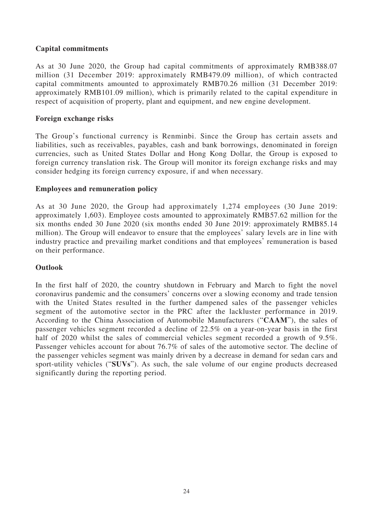# **Capital commitments**

As at 30 June 2020, the Group had capital commitments of approximately RMB388.07 million (31 December 2019: approximately RMB479.09 million), of which contracted capital commitments amounted to approximately RMB70.26 million (31 December 2019: approximately RMB101.09 million), which is primarily related to the capital expenditure in respect of acquisition of property, plant and equipment, and new engine development.

# **Foreign exchange risks**

The Group's functional currency is Renminbi. Since the Group has certain assets and liabilities, such as receivables, payables, cash and bank borrowings, denominated in foreign currencies, such as United States Dollar and Hong Kong Dollar, the Group is exposed to foreign currency translation risk. The Group will monitor its foreign exchange risks and may consider hedging its foreign currency exposure, if and when necessary.

# **Employees and remuneration policy**

As at 30 June 2020, the Group had approximately 1,274 employees (30 June 2019: approximately 1,603). Employee costs amounted to approximately RMB57.62 million for the six months ended 30 June 2020 (six months ended 30 June 2019: approximately RMB85.14 million). The Group will endeavor to ensure that the employees' salary levels are in line with industry practice and prevailing market conditions and that employees' remuneration is based on their performance.

# **Outlook**

In the first half of 2020, the country shutdown in February and March to fight the novel coronavirus pandemic and the consumers' concerns over a slowing economy and trade tension with the United States resulted in the further dampened sales of the passenger vehicles segment of the automotive sector in the PRC after the lackluster performance in 2019. According to the China Association of Automobile Manufacturers ("**CAAM**"), the sales of passenger vehicles segment recorded a decline of 22.5% on a year-on-year basis in the first half of 2020 whilst the sales of commercial vehicles segment recorded a growth of 9.5%. Passenger vehicles account for about 76.7% of sales of the automotive sector. The decline of the passenger vehicles segment was mainly driven by a decrease in demand for sedan cars and sport-utility vehicles ("**SUVs**"). As such, the sale volume of our engine products decreased significantly during the reporting period.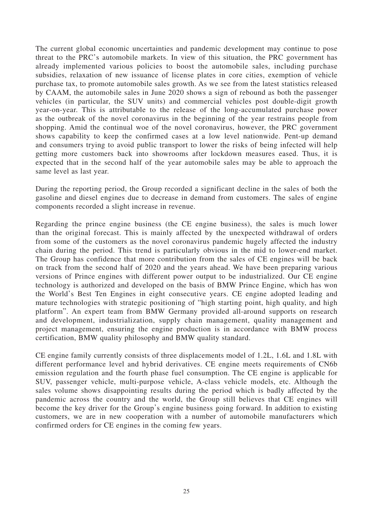The current global economic uncertainties and pandemic development may continue to pose threat to the PRC's automobile markets. In view of this situation, the PRC government has already implemented various policies to boost the automobile sales, including purchase subsidies, relaxation of new issuance of license plates in core cities, exemption of vehicle purchase tax, to promote automobile sales growth. As we see from the latest statistics released by CAAM, the automobile sales in June 2020 shows a sign of rebound as both the passenger vehicles (in particular, the SUV units) and commercial vehicles post double-digit growth year-on-year. This is attributable to the release of the long-accumulated purchase power as the outbreak of the novel coronavirus in the beginning of the year restrains people from shopping. Amid the continual woe of the novel coronavirus, however, the PRC government shows capability to keep the confirmed cases at a low level nationwide. Pent-up demand and consumers trying to avoid public transport to lower the risks of being infected will help getting more customers back into showrooms after lockdown measures eased. Thus, it is expected that in the second half of the year automobile sales may be able to approach the same level as last year.

During the reporting period, the Group recorded a significant decline in the sales of both the gasoline and diesel engines due to decrease in demand from customers. The sales of engine components recorded a slight increase in revenue.

Regarding the prince engine business (the CE engine business), the sales is much lower than the original forecast. This is mainly affected by the unexpected withdrawal of orders from some of the customers as the novel coronavirus pandemic hugely affected the industry chain during the period. This trend is particularly obvious in the mid to lower-end market. The Group has confidence that more contribution from the sales of CE engines will be back on track from the second half of 2020 and the years ahead. We have been preparing various versions of Prince engines with different power output to be industrialized. Our CE engine technology is authorized and developed on the basis of BMW Prince Engine, which has won the World's Best Ten Engines in eight consecutive years. CE engine adopted leading and mature technologies with strategic positioning of "high starting point, high quality, and high platform". An expert team from BMW Germany provided all-around supports on research and development, industrialization, supply chain management, quality management and project management, ensuring the engine production is in accordance with BMW process certification, BMW quality philosophy and BMW quality standard.

CE engine family currently consists of three displacements model of 1.2L, 1.6L and 1.8L with different performance level and hybrid derivatives. CE engine meets requirements of CN6b emission regulation and the fourth phase fuel consumption. The CE engine is applicable for SUV, passenger vehicle, multi-purpose vehicle, A-class vehicle models, etc. Although the sales volume shows disappointing results during the period which is badly affected by the pandemic across the country and the world, the Group still believes that CE engines will become the key driver for the Group's engine business going forward. In addition to existing customers, we are in new cooperation with a number of automobile manufacturers which confirmed orders for CE engines in the coming few years.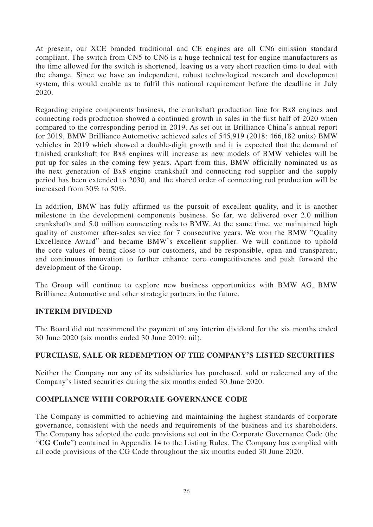At present, our XCE branded traditional and CE engines are all CN6 emission standard compliant. The switch from CN5 to CN6 is a huge technical test for engine manufacturers as the time allowed for the switch is shortened, leaving us a very short reaction time to deal with the change. Since we have an independent, robust technological research and development system, this would enable us to fulfil this national requirement before the deadline in July 2020.

Regarding engine components business, the crankshaft production line for Bx8 engines and connecting rods production showed a continued growth in sales in the first half of 2020 when compared to the corresponding period in 2019. As set out in Brilliance China's annual report for 2019, BMW Brilliance Automotive achieved sales of 545,919 (2018: 466,182 units) BMW vehicles in 2019 which showed a double-digit growth and it is expected that the demand of finished crankshaft for Bx8 engines will increase as new models of BMW vehicles will be put up for sales in the coming few years. Apart from this, BMW officially nominated us as the next generation of Bx8 engine crankshaft and connecting rod supplier and the supply period has been extended to 2030, and the shared order of connecting rod production will be increased from 30% to 50%.

In addition, BMW has fully affirmed us the pursuit of excellent quality, and it is another milestone in the development components business. So far, we delivered over 2.0 million crankshafts and 5.0 million connecting rods to BMW. At the same time, we maintained high quality of customer after-sales service for 7 consecutive years. We won the BMW "Quality Excellence Award" and became BMW's excellent supplier. We will continue to uphold the core values of being close to our customers, and be responsible, open and transparent, and continuous innovation to further enhance core competitiveness and push forward the development of the Group.

The Group will continue to explore new business opportunities with BMW AG, BMW Brilliance Automotive and other strategic partners in the future.

# **INTERIM DIVIDEND**

The Board did not recommend the payment of any interim dividend for the six months ended 30 June 2020 (six months ended 30 June 2019: nil).

### **PURCHASE, SALE OR REDEMPTION OF THE COMPANY'S LISTED SECURITIES**

Neither the Company nor any of its subsidiaries has purchased, sold or redeemed any of the Company's listed securities during the six months ended 30 June 2020.

### **COMPLIANCE WITH CORPORATE GOVERNANCE CODE**

The Company is committed to achieving and maintaining the highest standards of corporate governance, consistent with the needs and requirements of the business and its shareholders. The Company has adopted the code provisions set out in the Corporate Governance Code (the "**CG Code**") contained in Appendix 14 to the Listing Rules. The Company has complied with all code provisions of the CG Code throughout the six months ended 30 June 2020.